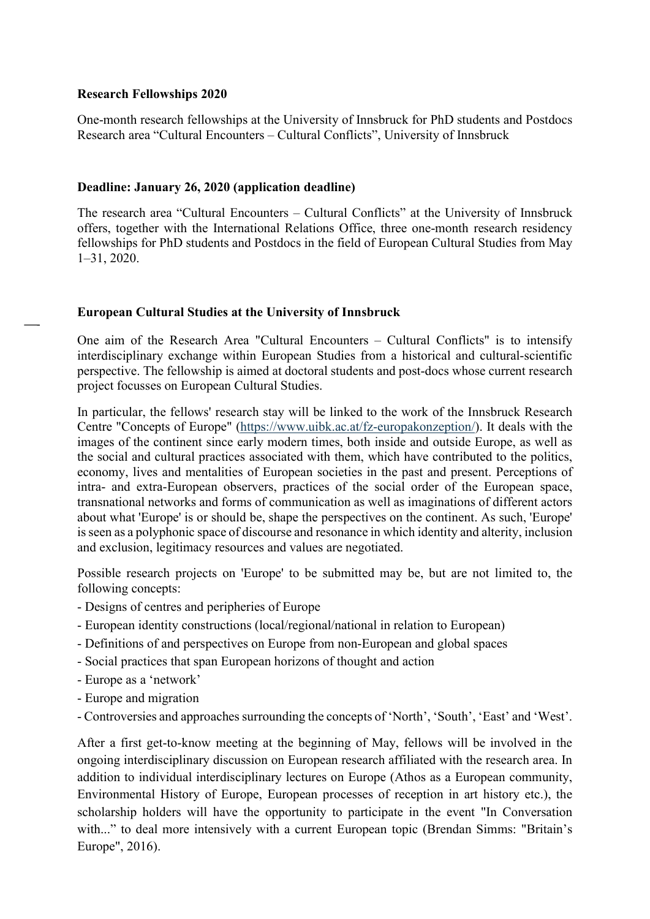#### Research Fellowships 2020

One-month research fellowships at the University of Innsbruck for PhD students and Postdocs Research area "Cultural Encounters – Cultural Conflicts", University of Innsbruck

### Deadline: January 26, 2020 (application deadline)

The research area "Cultural Encounters – Cultural Conflicts" at the University of Innsbruck offers, together with the International Relations Office, three one-month research residency fellowships for PhD students and Postdocs in the field of European Cultural Studies from May 1–31, 2020.

### European Cultural Studies at the University of Innsbruck

One aim of the Research Area "Cultural Encounters – Cultural Conflicts" is to intensify interdisciplinary exchange within European Studies from a historical and cultural-scientific perspective. The fellowship is aimed at doctoral students and post-docs whose current research project focusses on European Cultural Studies.

In particular, the fellows' research stay will be linked to the work of the Innsbruck Research Centre "Concepts of Europe" (https://www.uibk.ac.at/fz-europakonzeption/). It deals with the images of the continent since early modern times, both inside and outside Europe, as well as the social and cultural practices associated with them, which have contributed to the politics, economy, lives and mentalities of European societies in the past and present. Perceptions of intra- and extra-European observers, practices of the social order of the European space, transnational networks and forms of communication as well as imaginations of different actors about what 'Europe' is or should be, shape the perspectives on the continent. As such, 'Europe' is seen as a polyphonic space of discourse and resonance in which identity and alterity, inclusion and exclusion, legitimacy resources and values are negotiated.

Possible research projects on 'Europe' to be submitted may be, but are not limited to, the following concepts:

- Designs of centres and peripheries of Europe
- European identity constructions (local/regional/national in relation to European)
- Definitions of and perspectives on Europe from non-European and global spaces
- Social practices that span European horizons of thought and action
- Europe as a 'network'
- Europe and migration
- Controversies and approaches surrounding the concepts of 'North', 'South', 'East' and 'West'.

After a first get-to-know meeting at the beginning of May, fellows will be involved in the ongoing interdisciplinary discussion on European research affiliated with the research area. In addition to individual interdisciplinary lectures on Europe (Athos as a European community, Environmental History of Europe, European processes of reception in art history etc.), the scholarship holders will have the opportunity to participate in the event "In Conversation with..." to deal more intensively with a current European topic (Brendan Simms: "Britain's Europe", 2016).